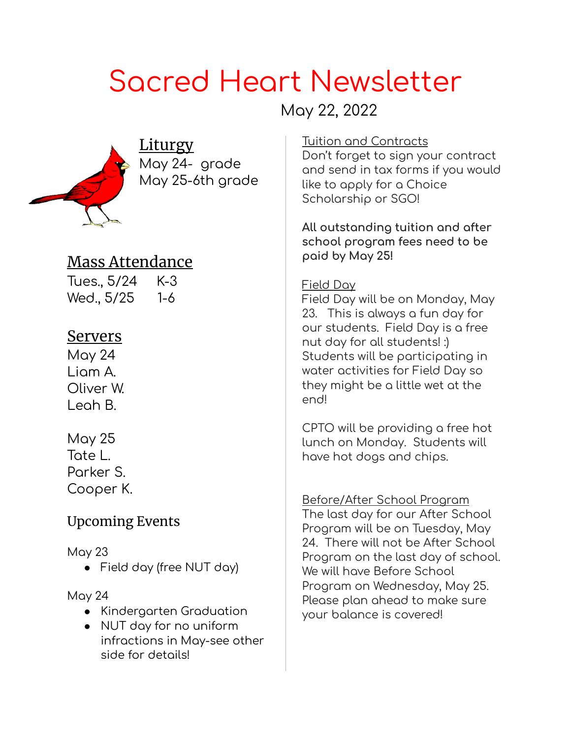# Sacred Heart Newsletter

# May 22, 2022



**Liturgy** May 24- grade May 25-6th grade

## Mass Attendance

Tues., 5/24 K-3 Wed., 5/25 1-6

## **Servers**

May 24 Liam A. Oliver W. Leah B.

May 25 Tate L. Parker S. Cooper K.

## Upcoming Events

May 23

● Field day (free NUT day)

#### May 24

- Kindergarten Graduation
- NUT day for no uniform infractions in May-see other side for details!

#### Tuition and Contracts

Don't forget to sign your contract and send in tax forms if you would like to apply for a Choice Scholarship or SGO!

**All outstanding tuition and after school program fees need to be paid by May 25!**

#### Field Day

Field Day will be on Monday, May 23. This is always a fun day for our students. Field Day is a free nut day for all students! :) Students will be participating in water activities for Field Day so they might be a little wet at the end!

CPTO will be providing a free hot lunch on Monday. Students will have hot dogs and chips.

Before/After School Program The last day for our After School Program will be on Tuesday, May 24. There will not be After School Program on the last day of school. We will have Before School Program on Wednesday, May 25. Please plan ahead to make sure your balance is covered!